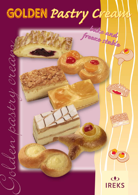